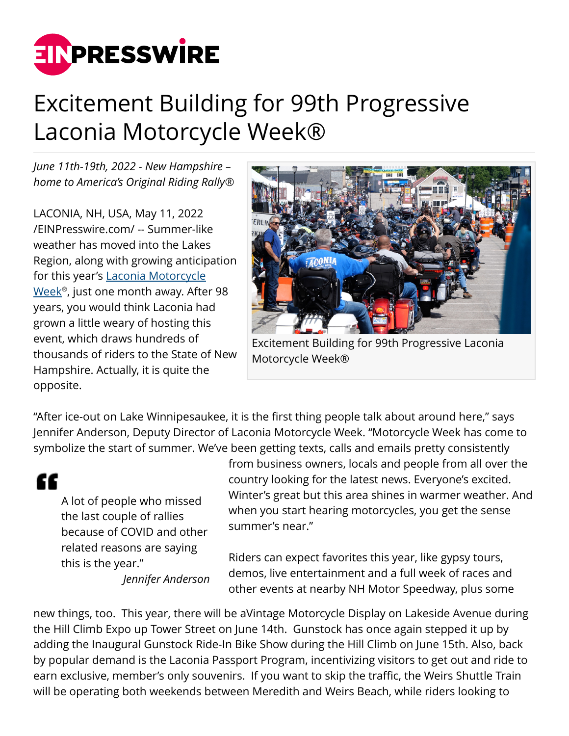

## Excitement Building for 99th Progressive Laconia Motorcycle Week®

*June 11th-19th, 2022 - New Hampshire – home to America's Original Riding Rally®*

LACONIA, NH, USA, May 11, 2022 [/EINPresswire.com/](http://www.einpresswire.com) -- Summer-like weather has moved into the Lakes Region, along with growing anticipation for this year's [Laconia Motorcycle](https://laconiamcweek.com) [Week](https://laconiamcweek.com)® , just one month away. After 98 years, you would think Laconia had grown a little weary of hosting this event, which draws hundreds of thousands of riders to the State of New Hampshire. Actually, it is quite the opposite.



Excitement Building for 99th Progressive Laconia Motorcycle Week®

"After ice-out on Lake Winnipesaukee, it is the first thing people talk about around here," says Jennifer Anderson, Deputy Director of Laconia Motorcycle Week. "Motorcycle Week has come to symbolize the start of summer. We've been getting texts, calls and emails pretty consistently

## ££

A lot of people who missed the last couple of rallies because of COVID and other related reasons are saying this is the year."

*Jennifer Anderson*

from business owners, locals and people from all over the country looking for the latest news. Everyone's excited. Winter's great but this area shines in warmer weather. And when you start hearing motorcycles, you get the sense summer's near."

Riders can expect favorites this year, like gypsy tours, demos, live entertainment and a full week of races and other events at nearby NH Motor Speedway, plus some

new things, too. This year, there will be aVintage Motorcycle Display on Lakeside Avenue during the Hill Climb Expo up Tower Street on June 14th. Gunstock has once again stepped it up by adding the Inaugural Gunstock Ride-In Bike Show during the Hill Climb on June 15th. Also, back by popular demand is the Laconia Passport Program, incentivizing visitors to get out and ride to earn exclusive, member's only souvenirs. If you want to skip the traffic, the Weirs Shuttle Train will be operating both weekends between Meredith and Weirs Beach, while riders looking to